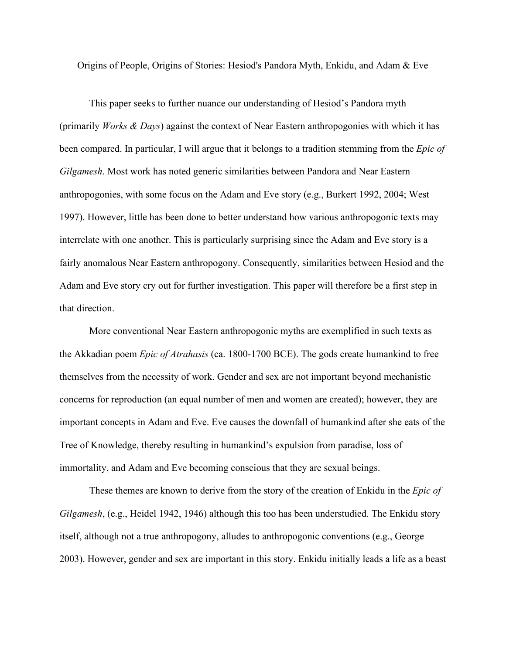Origins of People, Origins of Stories: Hesiod's Pandora Myth, Enkidu, and Adam & Eve

This paper seeks to further nuance our understanding of Hesiod's Pandora myth (primarily *Works & Days*) against the context of Near Eastern anthropogonies with which it has been compared. In particular, I will argue that it belongs to a tradition stemming from the *Epic of Gilgamesh*. Most work has noted generic similarities between Pandora and Near Eastern anthropogonies, with some focus on the Adam and Eve story (e.g., Burkert 1992, 2004; West 1997). However, little has been done to better understand how various anthropogonic texts may interrelate with one another. This is particularly surprising since the Adam and Eve story is a fairly anomalous Near Eastern anthropogony. Consequently, similarities between Hesiod and the Adam and Eve story cry out for further investigation. This paper will therefore be a first step in that direction.

More conventional Near Eastern anthropogonic myths are exemplified in such texts as the Akkadian poem *Epic of Atrahasis* (ca. 1800-1700 BCE). The gods create humankind to free themselves from the necessity of work. Gender and sex are not important beyond mechanistic concerns for reproduction (an equal number of men and women are created); however, they are important concepts in Adam and Eve. Eve causes the downfall of humankind after she eats of the Tree of Knowledge, thereby resulting in humankind's expulsion from paradise, loss of immortality, and Adam and Eve becoming conscious that they are sexual beings.

These themes are known to derive from the story of the creation of Enkidu in the *Epic of Gilgamesh*, (e.g., Heidel 1942, 1946) although this too has been understudied. The Enkidu story itself, although not a true anthropogony, alludes to anthropogonic conventions (e.g., George 2003). However, gender and sex are important in this story. Enkidu initially leads a life as a beast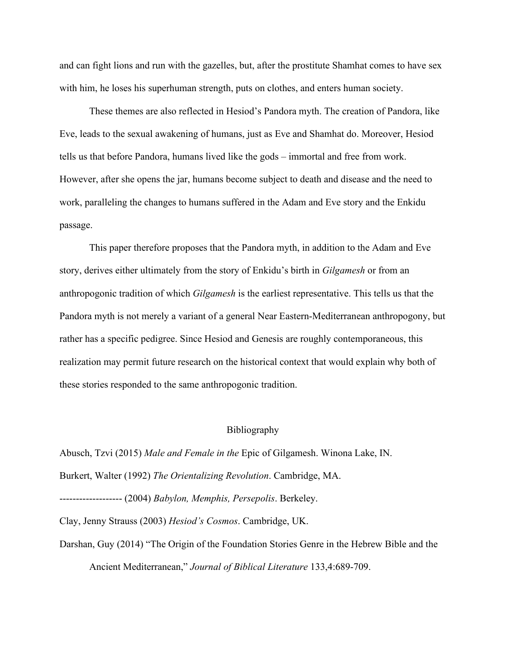and can fight lions and run with the gazelles, but, after the prostitute Shamhat comes to have sex with him, he loses his superhuman strength, puts on clothes, and enters human society.

These themes are also reflected in Hesiod's Pandora myth. The creation of Pandora, like Eve, leads to the sexual awakening of humans, just as Eve and Shamhat do. Moreover, Hesiod tells us that before Pandora, humans lived like the gods – immortal and free from work. However, after she opens the jar, humans become subject to death and disease and the need to work, paralleling the changes to humans suffered in the Adam and Eve story and the Enkidu passage.

This paper therefore proposes that the Pandora myth, in addition to the Adam and Eve story, derives either ultimately from the story of Enkidu's birth in *Gilgamesh* or from an anthropogonic tradition of which *Gilgamesh* is the earliest representative. This tells us that the Pandora myth is not merely a variant of a general Near Eastern-Mediterranean anthropogony, but rather has a specific pedigree. Since Hesiod and Genesis are roughly contemporaneous, this realization may permit future research on the historical context that would explain why both of these stories responded to the same anthropogonic tradition.

## Bibliography

Abusch, Tzvi (2015) *Male and Female in the* Epic of Gilgamesh. Winona Lake, IN.

Burkert, Walter (1992) *The Orientalizing Revolution*. Cambridge, MA.

------------------- (2004) *Babylon, Memphis, Persepolis*. Berkeley.

Clay, Jenny Strauss (2003) *Hesiod's Cosmos*. Cambridge, UK.

Darshan, Guy (2014) "The Origin of the Foundation Stories Genre in the Hebrew Bible and the Ancient Mediterranean," *Journal of Biblical Literature* 133,4:689-709.